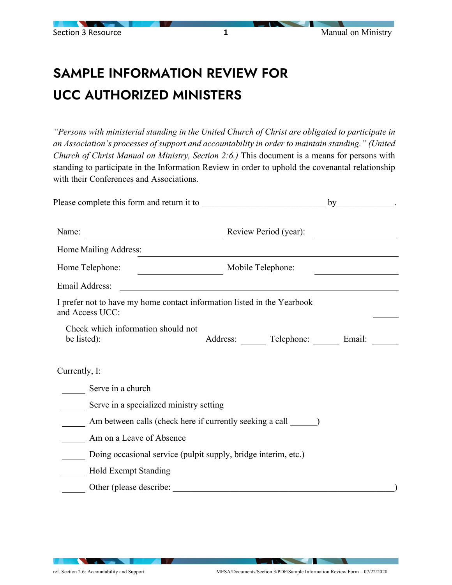## SAMPLE INFORMATION REVIEW FOR UCC AUTHORIZED MINISTERS

*"Persons with ministerial standing in the United Church of Christ are obligated to participate in an Association's processes of support and accountability in order to maintain standing." (United Church of Christ Manual on Ministry, Section 2:6.)* This document is a means for persons with standing to participate in the Information Review in order to uphold the covenantal relationship with their Conferences and Associations.

|                                                                                            | by                                                  |
|--------------------------------------------------------------------------------------------|-----------------------------------------------------|
| Name:                                                                                      | Review Period (year):                               |
| Home Mailing Address:                                                                      |                                                     |
| Home Telephone:                                                                            | Mobile Telephone:                                   |
| Email Address:                                                                             |                                                     |
| I prefer not to have my home contact information listed in the Yearbook<br>and Access UCC: |                                                     |
| Check which information should not<br>be listed):                                          | Address: Telephone: Email:                          |
| Currently, I:                                                                              |                                                     |
| Serve in a church                                                                          |                                                     |
| Serve in a specialized ministry setting                                                    |                                                     |
| Am between calls (check here if currently seeking a call ________ )                        |                                                     |
| Am on a Leave of Absence                                                                   |                                                     |
| Doing occasional service (pulpit supply, bridge interim, etc.)                             |                                                     |
| <b>Hold Exempt Standing</b>                                                                |                                                     |
| Other (please describe:                                                                    | <u> 1980 - Johann Stein, marwolaethau (b. 1980)</u> |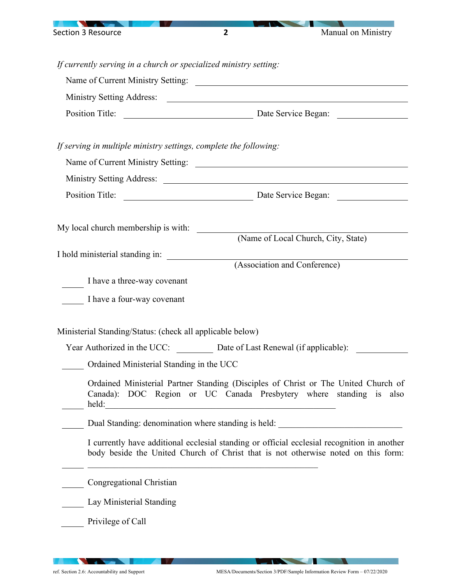

*If currently serving in a church or specialized ministry setting:*

|                                                                                                                                                                                                                               | Position Title: <u>Date Service Began:</u> Date Service Began:                                                                                                                   |
|-------------------------------------------------------------------------------------------------------------------------------------------------------------------------------------------------------------------------------|----------------------------------------------------------------------------------------------------------------------------------------------------------------------------------|
| If serving in multiple ministry settings, complete the following:                                                                                                                                                             |                                                                                                                                                                                  |
|                                                                                                                                                                                                                               |                                                                                                                                                                                  |
|                                                                                                                                                                                                                               |                                                                                                                                                                                  |
|                                                                                                                                                                                                                               |                                                                                                                                                                                  |
| My local church membership is with:                                                                                                                                                                                           |                                                                                                                                                                                  |
|                                                                                                                                                                                                                               | (Name of Local Church, City, State)                                                                                                                                              |
| I hold ministerial standing in:                                                                                                                                                                                               | (Association and Conference)                                                                                                                                                     |
|                                                                                                                                                                                                                               |                                                                                                                                                                                  |
| I have a three-way covenant                                                                                                                                                                                                   |                                                                                                                                                                                  |
| I have a four-way covenant                                                                                                                                                                                                    |                                                                                                                                                                                  |
| Ministerial Standing/Status: (check all applicable below)                                                                                                                                                                     |                                                                                                                                                                                  |
|                                                                                                                                                                                                                               | Year Authorized in the UCC: Date of Last Renewal (if applicable):                                                                                                                |
| Ordained Ministerial Standing in the UCC                                                                                                                                                                                      |                                                                                                                                                                                  |
| held: a state of the state of the state of the state of the state of the state of the state of the state of the state of the state of the state of the state of the state of the state of the state of the state of the state | Ordained Ministerial Partner Standing (Disciples of Christ or The United Church of<br>Canada): DOC Region or UC Canada Presbytery where standing is also                         |
|                                                                                                                                                                                                                               | Dual Standing: denomination where standing is held: ____________________________                                                                                                 |
|                                                                                                                                                                                                                               | I currently have additional ecclesial standing or official ecclesial recognition in another<br>body beside the United Church of Christ that is not otherwise noted on this form: |
| Congregational Christian                                                                                                                                                                                                      |                                                                                                                                                                                  |
| Lay Ministerial Standing                                                                                                                                                                                                      |                                                                                                                                                                                  |
| Privilege of Call                                                                                                                                                                                                             |                                                                                                                                                                                  |

-

 $\sim$ 

 $\sqrt{ }$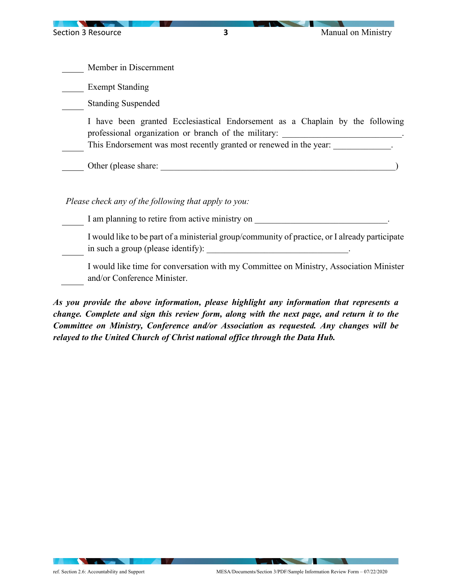Member in Discernment Exempt Standing Standing Suspended I have been granted Ecclesiastical Endorsement as a Chaplain by the following professional organization or branch of the military: This Endorsement was most recently granted or renewed in the year: Other (please share: \_\_\_\_\_\_\_\_\_\_\_\_\_\_\_\_\_\_\_\_\_\_\_\_\_\_\_\_\_\_\_\_\_\_\_\_\_\_\_\_\_\_\_\_\_\_\_\_\_\_\_\_\_) *Please check any of the following that apply to you:*  I am planning to retire from active ministry on  $\cdot$ I would like to be part of a ministerial group/community of practice, or I already participate in such a group (please identify): \_\_\_\_\_\_\_\_\_\_\_\_\_\_\_\_\_\_\_\_\_\_\_\_\_\_\_\_\_\_\_\_.

I would like time for conversation with my Committee on Ministry, Association Minister and/or Conference Minister.

*As you provide the above information, please highlight any information that represents a change. Complete and sign this review form, along with the next page, and return it to the Committee on Ministry, Conference and/or Association as requested. Any changes will be relayed to the United Church of Christ national office through the Data Hub.*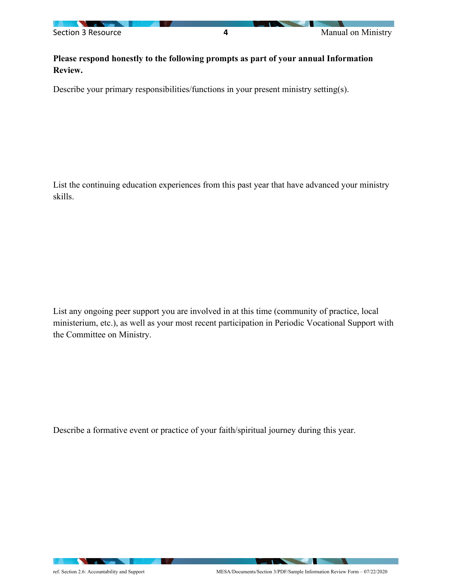

**Please respond honestly to the following prompts as part of your annual Information Review.**

Describe your primary responsibilities/functions in your present ministry setting(s).

List the continuing education experiences from this past year that have advanced your ministry skills.

List any ongoing peer support you are involved in at this time (community of practice, local ministerium, etc.), as well as your most recent participation in Periodic Vocational Support with the Committee on Ministry.

Describe a formative event or practice of your faith/spiritual journey during this year.